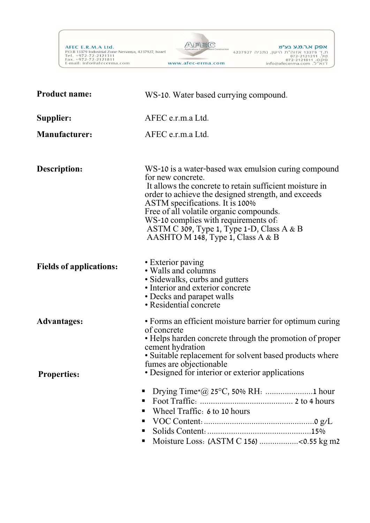AFEC E.R.M.A Ltd.<br>P.O.B 13379 Industrial Zone Nenanya, 4237927, Israel<br>Tel. +972-72-2121311<br>Fax. +972-72-2121811<br>E-mail: info@afecerma.com



| <b>Product name:</b>                     | WS-10. Water based currying compound.                                                                                                                                                                                                                                                                                                                                                                 |
|------------------------------------------|-------------------------------------------------------------------------------------------------------------------------------------------------------------------------------------------------------------------------------------------------------------------------------------------------------------------------------------------------------------------------------------------------------|
| Supplier:                                | AFEC e.r.m.a Ltd.                                                                                                                                                                                                                                                                                                                                                                                     |
| <b>Manufacturer:</b>                     | AFEC e.r.m.a Ltd.                                                                                                                                                                                                                                                                                                                                                                                     |
| Description:                             | WS-10 is a water-based wax emulsion curing compound<br>for new concrete.<br>It allows the concrete to retain sufficient moisture in<br>order to achieve the designed strength, and exceeds<br>ASTM specifications. It is 100%<br>Free of all volatile organic compounds.<br>WS-10 complies with requirements of.<br>ASTM C $309$ , Type 1, Type 1-D, Class A & B<br>AASHTO M 148, Type 1, Class A & B |
| <b>Fields of applications:</b>           | • Exterior paving<br>• Walls and columns<br>• Sidewalks, curbs and gutters<br>• Interior and exterior concrete<br>• Decks and parapet walls<br>• Residential concrete                                                                                                                                                                                                                                 |
| <b>Advantages:</b><br><b>Properties:</b> | • Forms an efficient moisture barrier for optimum curing<br>of concrete<br>• Helps harden concrete through the promotion of proper<br>cement hydration<br>• Suitable replacement for solvent based products where<br>fumes are objectionable<br>• Designed for interior or exterior applications                                                                                                      |
|                                          | п<br>п<br>Wheel Traffic: 6 to 10 hours<br>٠<br>٠<br>٠<br>Moisture Loss: (ASTM C 156) <0.55 kg m2<br>٠                                                                                                                                                                                                                                                                                                 |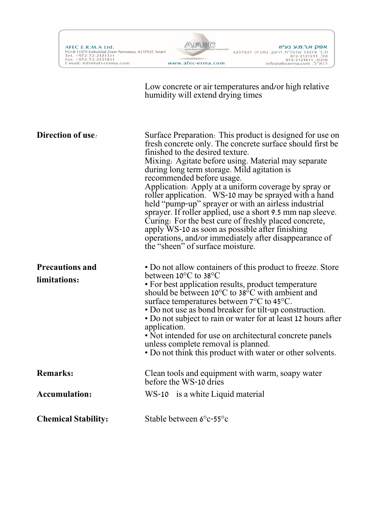



Low concrete or air temperatures and/or high relative humidity will extend drying times

| Direction of use.                      | Surface Preparation: This product is designed for use on<br>fresh concrete only. The concrete surface should first be<br>finished to the desired texture.<br>Mixing: Agitate before using. Material may separate<br>during long term storage. Mild agitation is<br>recommended before usage.<br>Application: Apply at a uniform coverage by spray or<br>roller application. WS-10 may be sprayed with a hand<br>held "pump-up" sprayer or with an airless industrial<br>sprayer. If roller applied, use a short 9.5 mm nap sleeve.<br>Curing: For the best cure of freshly placed concrete,<br>apply WS-10 as soon as possible after finishing<br>operations, and/or immediately after disappearance of<br>the "sheen" of surface moisture. |
|----------------------------------------|---------------------------------------------------------------------------------------------------------------------------------------------------------------------------------------------------------------------------------------------------------------------------------------------------------------------------------------------------------------------------------------------------------------------------------------------------------------------------------------------------------------------------------------------------------------------------------------------------------------------------------------------------------------------------------------------------------------------------------------------|
| <b>Precautions and</b><br>limitations: | • Do not allow containers of this product to freeze. Store<br>between $10^{\circ}$ C to $38^{\circ}$ C<br>• For best application results, product temperature<br>should be between $10^{\circ}$ C to $38^{\circ}$ C with ambient and<br>surface temperatures between 7°C to 45°C.<br>• Do not use as bond breaker for tilt-up construction.<br>• Do not subject to rain or water for at least 12 hours after                                                                                                                                                                                                                                                                                                                                |
|                                        | application.<br>• Not intended for use on architectural concrete panels<br>unless complete removal is planned.<br>• Do not think this product with water or other solvents.                                                                                                                                                                                                                                                                                                                                                                                                                                                                                                                                                                 |
| <b>Remarks:</b>                        | Clean tools and equipment with warm, soapy water<br>before the WS-10 dries                                                                                                                                                                                                                                                                                                                                                                                                                                                                                                                                                                                                                                                                  |
| <b>Accumulation:</b>                   | WS-10 is a white Liquid material                                                                                                                                                                                                                                                                                                                                                                                                                                                                                                                                                                                                                                                                                                            |
| <b>Chemical Stability:</b>             | Stable between 6°c-55°c                                                                                                                                                                                                                                                                                                                                                                                                                                                                                                                                                                                                                                                                                                                     |